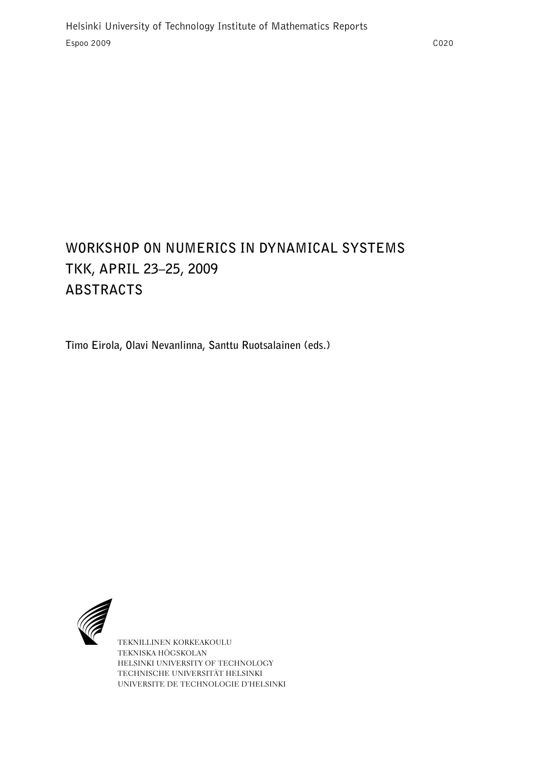# **WORKSHOP ON NUMERICS IN DYNAMICAL SYSTEMS TKK, APRIL 23–25, 2009 ABSTRACTS**

**Timo Eirola, Olavi Nevanlinna, Santtu Ruotsalainen (eds.)**



TEKNILLINEN KORKEAKOULU TEKNISKA HÖGSKOLAN HELSINKI UNIVERSITY OF TECHNOLOGY TECHNISCHE UNIVERSITÄT HELSINKI UNIVERSITE DE TECHNOLOGIE D'HELSINKI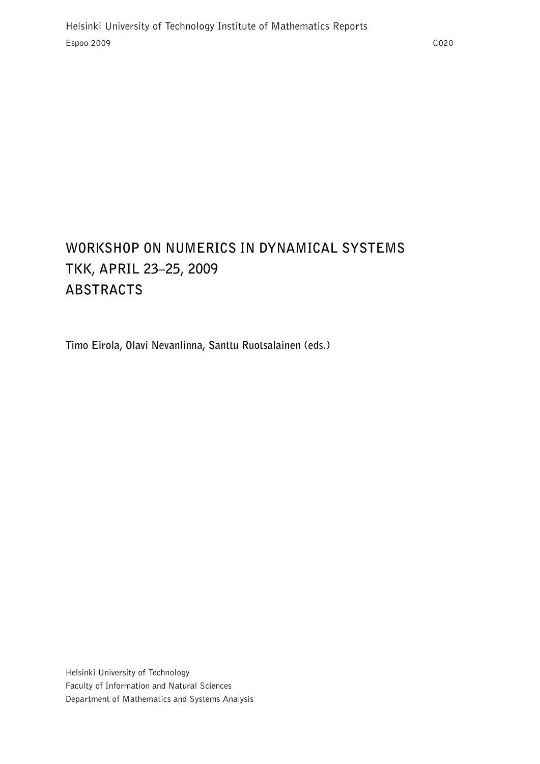# **WORKSHOP ON NUMERICS IN DYNAMICAL SYSTEMS TKK, APRIL 23–25, 2009 ABSTRACTS**

**Timo Eirola, Olavi Nevanlinna, Santtu Ruotsalainen (eds.)**

Helsinki University of Technology Faculty of Information and Natural Sciences Department of Mathematics and Systems Analysis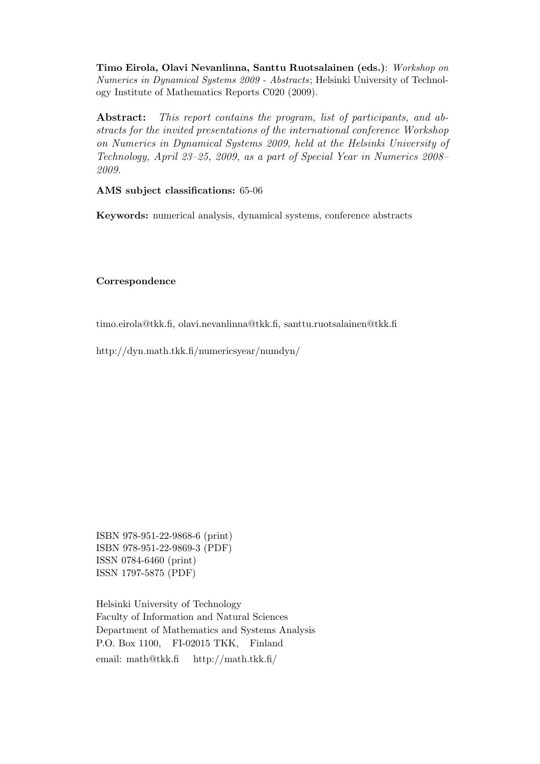Timo Eirola, Olavi Nevanlinna, Santtu Ruotsalainen (eds.): Workshop on Numerics in Dynamical Systems 2009 - Abstracts; Helsinki University of Technology Institute of Mathematics Reports C020 (2009).

Abstract: This report contains the program, list of participants, and abstracts for the invited presentations of the international conference Workshop on Numerics in Dynamical Systems 2009, held at the Helsinki University of Technology, April 23–25, 2009, as a part of Special Year in Numerics 2008– 2009.

AMS subject classifications: 65-06

Keywords: numerical analysis, dynamical systems, conference abstracts

Correspondence

timo.eirola@tkk.fi, olavi.nevanlinna@tkk.fi, santtu.ruotsalainen@tkk.fi

http://dyn.math.tkk.fi/numericsyear/numdyn/

ISBN 978-951-22-9868-6 (print) ISBN 978-951-22-9869-3 (PDF) ISSN 0784-6460 (print) ISSN 1797-5875 (PDF)

Helsinki University of Technology Faculty of Information and Natural Sciences Department of Mathematics and Systems Analysis P.O. Box 1100, FI-02015 TKK, Finland email: math@tkk.fi http://math.tkk.fi/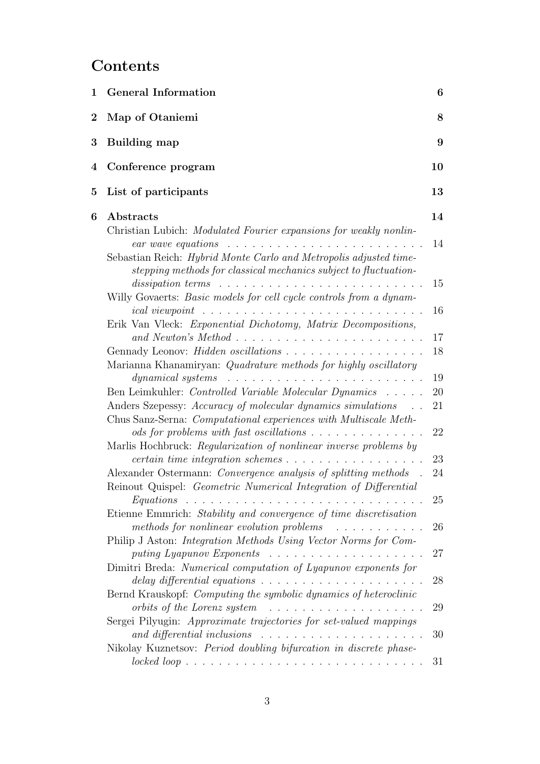# **Contents**

| $\mathbf 1$ | <b>General Information</b>                                                                                                                                                                                                                                                                                                                                                                                                                                                                                                                                                                                               | 6                                |
|-------------|--------------------------------------------------------------------------------------------------------------------------------------------------------------------------------------------------------------------------------------------------------------------------------------------------------------------------------------------------------------------------------------------------------------------------------------------------------------------------------------------------------------------------------------------------------------------------------------------------------------------------|----------------------------------|
| $\bf{2}$    | Map of Otaniemi                                                                                                                                                                                                                                                                                                                                                                                                                                                                                                                                                                                                          | 8                                |
| 3           | <b>Building map</b>                                                                                                                                                                                                                                                                                                                                                                                                                                                                                                                                                                                                      | 9                                |
| 4           | Conference program                                                                                                                                                                                                                                                                                                                                                                                                                                                                                                                                                                                                       | 10                               |
| 5           | List of participants                                                                                                                                                                                                                                                                                                                                                                                                                                                                                                                                                                                                     | 13                               |
| 6           | Abstracts<br>Christian Lubich: Modulated Fourier expansions for weakly nonlin-<br>Sebastian Reich: Hybrid Monte Carlo and Metropolis adjusted time-<br>stepping methods for classical mechanics subject to fluctuation-<br>dissipation terms $\ldots \ldots \ldots \ldots \ldots \ldots \ldots$                                                                                                                                                                                                                                                                                                                          | 14<br>14<br>15                   |
|             | Willy Govaerts: Basic models for cell cycle controls from a dynam-<br>Erik Van Vleck: Exponential Dichotomy, Matrix Decompositions,<br>Gennady Leonov: <i>Hidden oscillations</i><br>Marianna Khanamiryan: Quadrature methods for highly oscillatory<br><i>dynamical systems</i>                                                                                                                                                                                                                                                                                                                                         | 16<br>17<br>18<br>19             |
|             | Ben Leimkuhler: Controlled Variable Molecular Dynamics<br>Anders Szepessy: Accuracy of molecular dynamics simulations<br>Chus Sanz-Serna: <i>Computational experiences with Multiscale Meth</i> -<br>ods for problems with fast oscillations $\ldots \ldots \ldots \ldots \ldots$<br>Marlis Hochbruck: Regularization of nonlinear inverse problems by<br>Alexander Ostermann: Convergence analysis of splitting methods<br>Reinout Quispel: Geometric Numerical Integration of Differential                                                                                                                             | 20<br>21<br>22<br>23<br>24<br>25 |
|             | Etienne Emmrich: Stability and convergence of time discretisation<br>methods for nonlinear evolution problems<br>.<br>Philip J Aston: Integration Methods Using Vector Norms for Com-<br>puting Lyapunov Exponents $\ldots \ldots \ldots \ldots \ldots$<br>Dimitri Breda: Numerical computation of Lyapunov exponents for<br>delay differential equations $\ldots \ldots \ldots \ldots \ldots \ldots \ldots$<br>Bernd Krauskopf: Computing the symbolic dynamics of heteroclinic<br>orbits of the Lorenz system<br>.<br>Sergei Pilyugin: Approximate trajectories for set-valued mappings<br>and differential inclusions | 26<br>27<br>28<br>29<br>30       |
|             | Nikolay Kuznetsov: Period doubling bifurcation in discrete phase-                                                                                                                                                                                                                                                                                                                                                                                                                                                                                                                                                        | 31                               |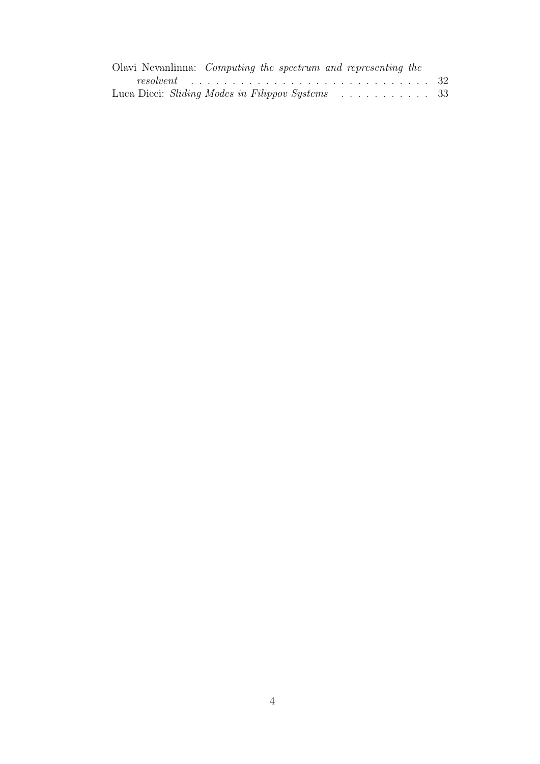| Olavi Nevanlinna: <i>Computing the spectrum and representing the</i> |  |
|----------------------------------------------------------------------|--|
|                                                                      |  |
| Luca Dieci: Sliding Modes in Filippov Systems 33                     |  |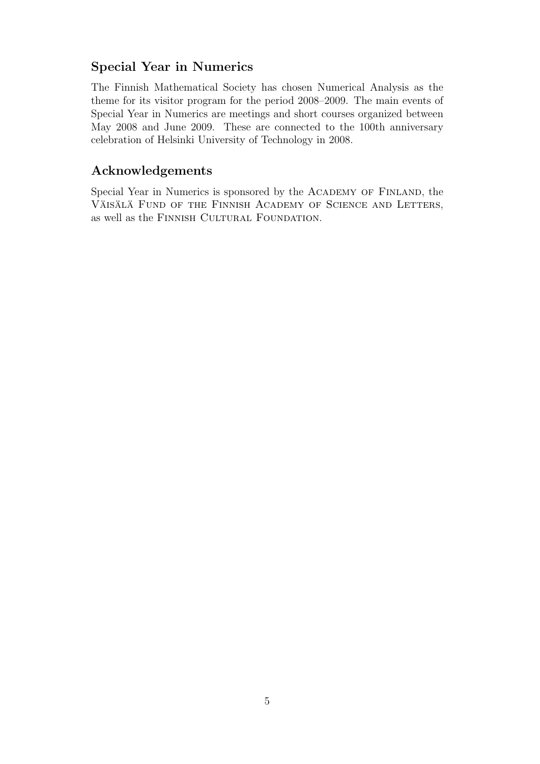# Special Year in Numerics

The Finnish Mathematical Society has chosen Numerical Analysis as the theme for its visitor program for the period 2008–2009. The main events of Special Year in Numerics are meetings and short courses organized between May 2008 and June 2009. These are connected to the 100th anniversary celebration of Helsinki University of Technology in 2008.

# Acknowledgements

Special Year in Numerics is sponsored by the ACADEMY OF FINLAND, the VÄISÄLÄ FUND OF THE FINNISH ACADEMY OF SCIENCE AND LETTERS, as well as the FINNISH CULTURAL FOUNDATION.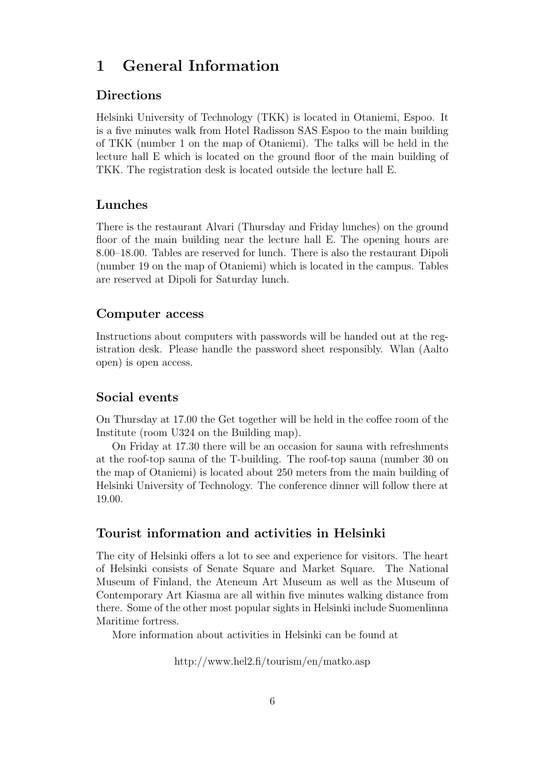# 1 General Information

# Directions

Helsinki University of Technology (TKK) is located in Otaniemi, Espoo. It is a five minutes walk from Hotel Radisson SAS Espoo to the main building of TKK (number 1 on the map of Otaniemi). The talks will be held in the lecture hall E which is located on the ground floor of the main building of TKK. The registration desk is located outside the lecture hall E.

# Lunches

There is the restaurant Alvari (Thursday and Friday lunches) on the ground floor of the main building near the lecture hall E. The opening hours are 8.00–18.00. Tables are reserved for lunch. There is also the restaurant Dipoli (number 19 on the map of Otaniemi) which is located in the campus. Tables are reserved at Dipoli for Saturday lunch.

# Computer access

Instructions about computers with passwords will be handed out at the registration desk. Please handle the password sheet responsibly. Wlan (Aalto open) is open access.

# Social events

On Thursday at 17.00 the Get together will be held in the coffee room of the Institute (room U324 on the Building map).

On Friday at 17.30 there will be an occasion for sauna with refreshments at the roof-top sauna of the T-building. The roof-top sauna (number 30 on the map of Otaniemi) is located about 250 meters from the main building of Helsinki University of Technology. The conference dinner will follow there at 19.00.

# Tourist information and activities in Helsinki

The city of Helsinki offers a lot to see and experience for visitors. The heart of Helsinki consists of Senate Square and Market Square. The National Museum of Finland, the Ateneum Art Museum as well as the Museum of Contemporary Art Kiasma are all within five minutes walking distance from there. Some of the other most popular sights in Helsinki include Suomenlinna Maritime fortress.

More information about activities in Helsinki can be found at

http://www.hel2.fi/tourism/en/matko.asp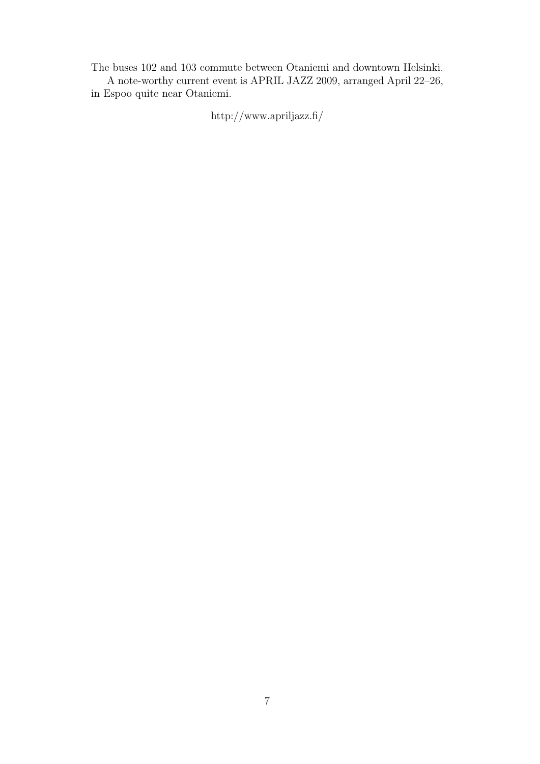The buses 102 and 103 commute between Otaniemi and downtown Helsinki. A note-worthy current event is APRIL JAZZ 2009, arranged April 22–26,

in Espoo quite near Otaniemi.

http://www.apriljazz.fi/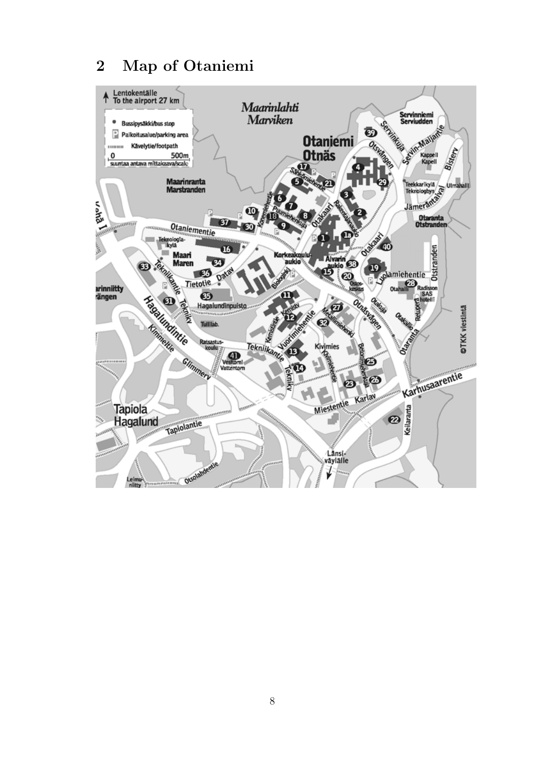# 2 Map of Otaniemi

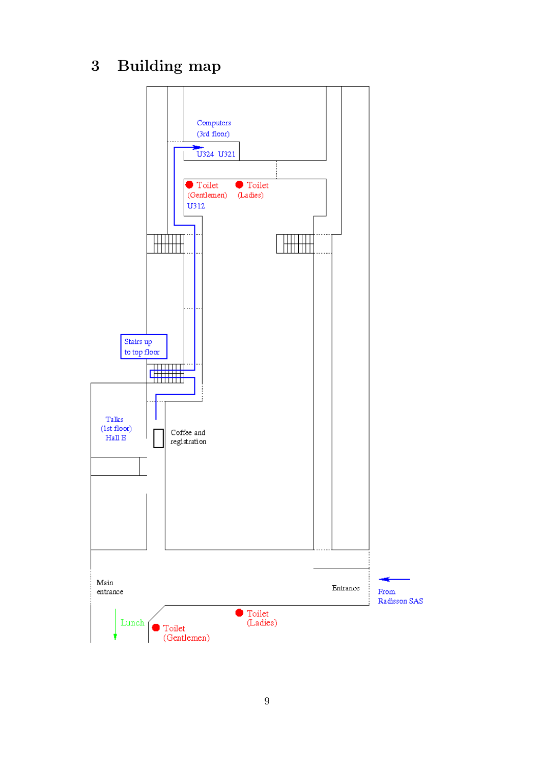3 Building map

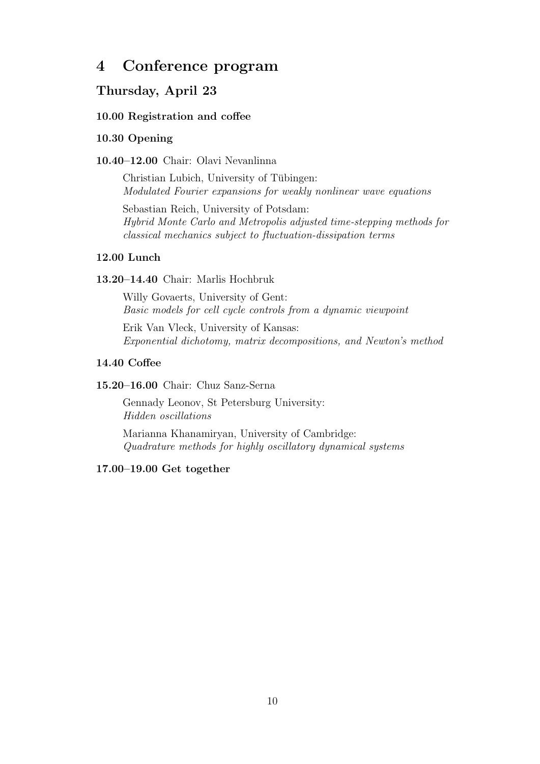# 4 Conference program

# Thursday, April 23

### 10.00 Registration and coffee

#### 10.30 Opening

#### 10.40–12.00 Chair: Olavi Nevanlinna

Christian Lubich, University of Tübingen: Modulated Fourier expansions for weakly nonlinear wave equations

Sebastian Reich, University of Potsdam: Hybrid Monte Carlo and Metropolis adjusted time-stepping methods for classical mechanics subject to fluctuation-dissipation terms

#### 12.00 Lunch

#### 13.20–14.40 Chair: Marlis Hochbruk

Willy Govaerts, University of Gent: Basic models for cell cycle controls from a dynamic viewpoint

Erik Van Vleck, University of Kansas: Exponential dichotomy, matrix decompositions, and Newton's method

#### 14.40 Coffee

## 15.20–16.00 Chair: Chuz Sanz-Serna

Gennady Leonov, St Petersburg University: Hidden oscillations

Marianna Khanamiryan, University of Cambridge: Quadrature methods for highly oscillatory dynamical systems

#### 17.00–19.00 Get together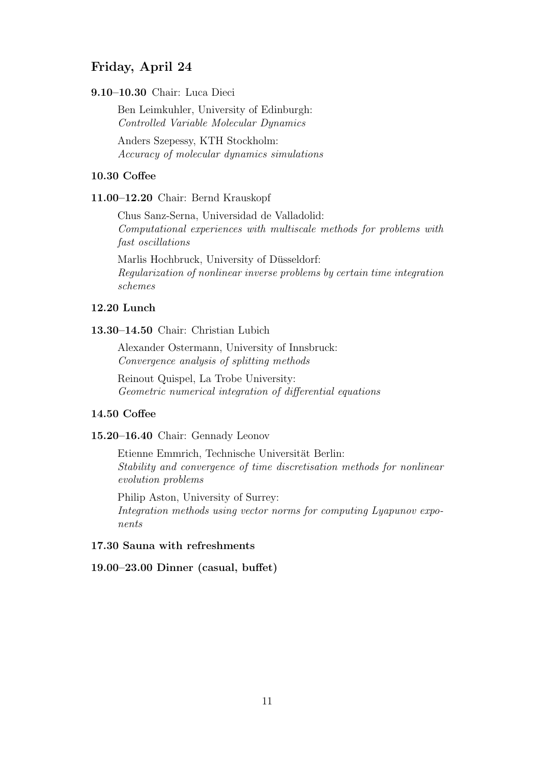# Friday, April 24

9.10–10.30 Chair: Luca Dieci

Ben Leimkuhler, University of Edinburgh: Controlled Variable Molecular Dynamics

Anders Szepessy, KTH Stockholm: Accuracy of molecular dynamics simulations

## 10.30 Coffee

11.00–12.20 Chair: Bernd Krauskopf

Chus Sanz-Serna, Universidad de Valladolid: Computational experiences with multiscale methods for problems with fast oscillations

Marlis Hochbruck, University of Düsseldorf: Regularization of nonlinear inverse problems by certain time integration schemes

## 12.20 Lunch

#### 13.30–14.50 Chair: Christian Lubich

Alexander Ostermann, University of Innsbruck: Convergence analysis of splitting methods

Reinout Quispel, La Trobe University: Geometric numerical integration of differential equations

## 14.50 Coffee

### 15.20–16.40 Chair: Gennady Leonov

Etienne Emmrich, Technische Universität Berlin: Stability and convergence of time discretisation methods for nonlinear evolution problems

Philip Aston, University of Surrey: Integration methods using vector norms for computing Lyapunov exponents

#### 17.30 Sauna with refreshments

19.00–23.00 Dinner (casual, buffet)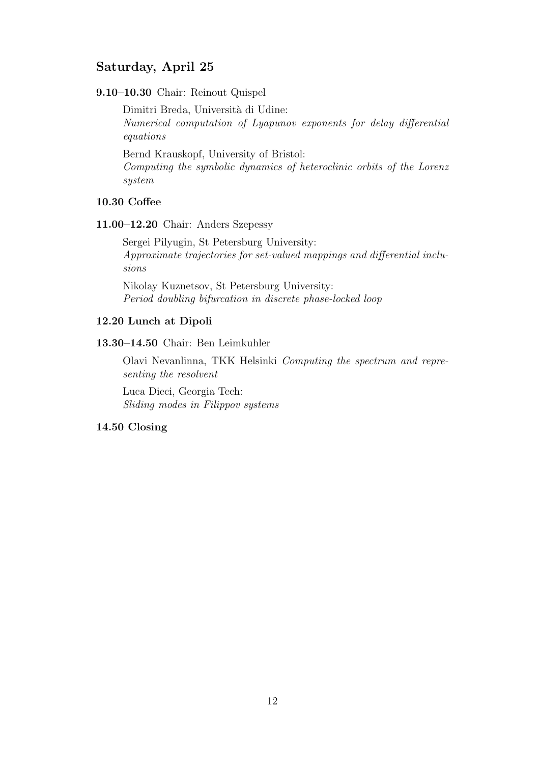# Saturday, April 25

9.10–10.30 Chair: Reinout Quispel

Dimitri Breda, Università di Udine: Numerical computation of Lyapunov exponents for delay differential equations

Bernd Krauskopf, University of Bristol:

Computing the symbolic dynamics of heteroclinic orbits of the Lorenz system

#### 10.30 Coffee

11.00–12.20 Chair: Anders Szepessy

Sergei Pilyugin, St Petersburg University: Approximate trajectories for set-valued mappings and differential inclusions

Nikolay Kuznetsov, St Petersburg University: Period doubling bifurcation in discrete phase-locked loop

#### 12.20 Lunch at Dipoli

13.30–14.50 Chair: Ben Leimkuhler

Olavi Nevanlinna, TKK Helsinki Computing the spectrum and representing the resolvent

Luca Dieci, Georgia Tech: Sliding modes in Filippov systems

#### 14.50 Closing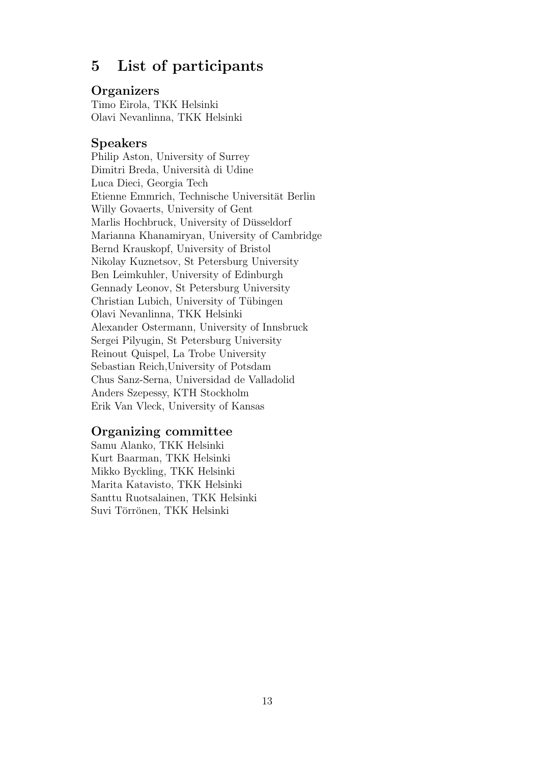# 5 List of participants

# **Organizers**

Timo Eirola, TKK Helsinki Olavi Nevanlinna, TKK Helsinki

# Speakers

Philip Aston, University of Surrey Dimitri Breda, Università di Udine Luca Dieci, Georgia Tech Etienne Emmrich, Technische Universität Berlin Willy Govaerts, University of Gent Marlis Hochbruck, University of Düsseldorf Marianna Khanamiryan, University of Cambridge Bernd Krauskopf, University of Bristol Nikolay Kuznetsov, St Petersburg University Ben Leimkuhler, University of Edinburgh Gennady Leonov, St Petersburg University Christian Lubich, University of Tübingen Olavi Nevanlinna, TKK Helsinki Alexander Ostermann, University of Innsbruck Sergei Pilyugin, St Petersburg University Reinout Quispel, La Trobe University Sebastian Reich,University of Potsdam Chus Sanz-Serna, Universidad de Valladolid Anders Szepessy, KTH Stockholm Erik Van Vleck, University of Kansas

# Organizing committee

Samu Alanko, TKK Helsinki Kurt Baarman, TKK Helsinki Mikko Byckling, TKK Helsinki Marita Katavisto, TKK Helsinki Santtu Ruotsalainen, TKK Helsinki Suvi Törrönen, TKK Helsinki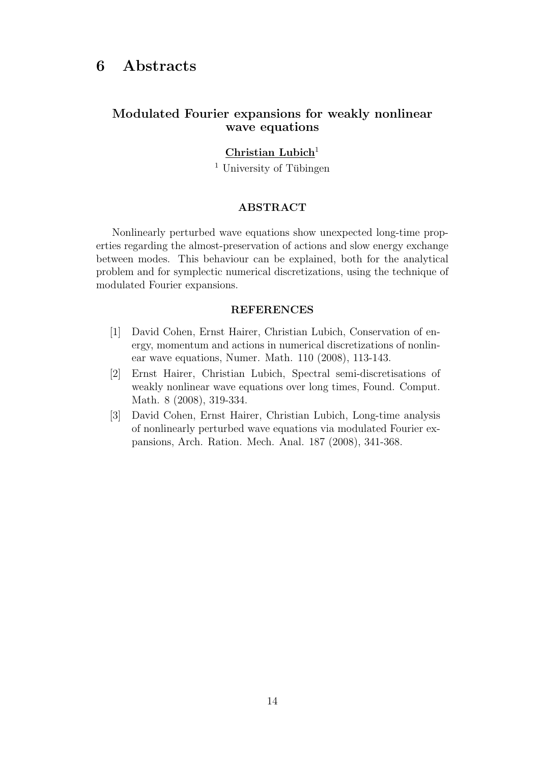# Modulated Fourier expansions for weakly nonlinear wave equations

## $Christian Lubich<sup>1</sup>$

 $<sup>1</sup>$  University of Tübingen</sup>

### ABSTRACT

Nonlinearly perturbed wave equations show unexpected long-time properties regarding the almost-preservation of actions and slow energy exchange between modes. This behaviour can be explained, both for the analytical problem and for symplectic numerical discretizations, using the technique of modulated Fourier expansions.

#### REFERENCES

- [1] David Cohen, Ernst Hairer, Christian Lubich, Conservation of energy, momentum and actions in numerical discretizations of nonlinear wave equations, Numer. Math. 110 (2008), 113-143.
- [2] Ernst Hairer, Christian Lubich, Spectral semi-discretisations of weakly nonlinear wave equations over long times, Found. Comput. Math. 8 (2008), 319-334.
- [3] David Cohen, Ernst Hairer, Christian Lubich, Long-time analysis of nonlinearly perturbed wave equations via modulated Fourier expansions, Arch. Ration. Mech. Anal. 187 (2008), 341-368.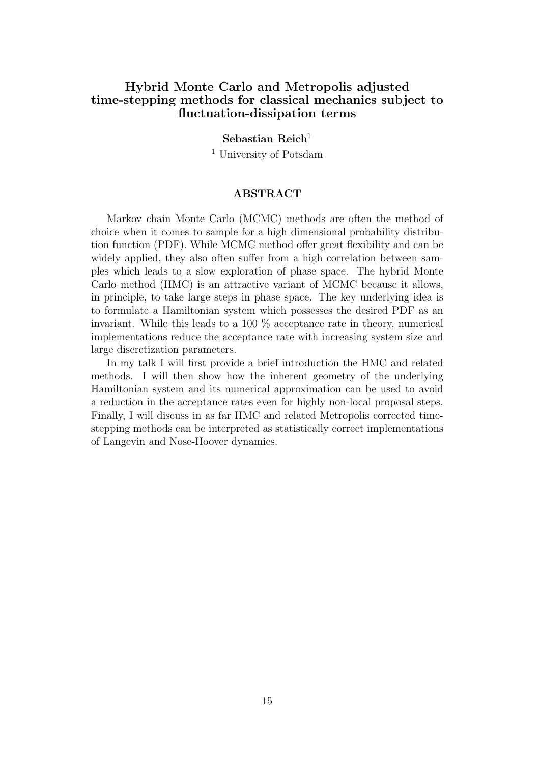# Hybrid Monte Carlo and Metropolis adjusted time-stepping methods for classical mechanics subject to fluctuation-dissipation terms

## Sebastian Reich<sup>1</sup>

<sup>1</sup> University of Potsdam

#### ABSTRACT

Markov chain Monte Carlo (MCMC) methods are often the method of choice when it comes to sample for a high dimensional probability distribution function (PDF). While MCMC method offer great flexibility and can be widely applied, they also often suffer from a high correlation between samples which leads to a slow exploration of phase space. The hybrid Monte Carlo method (HMC) is an attractive variant of MCMC because it allows, in principle, to take large steps in phase space. The key underlying idea is to formulate a Hamiltonian system which possesses the desired PDF as an invariant. While this leads to a 100 % acceptance rate in theory, numerical implementations reduce the acceptance rate with increasing system size and large discretization parameters.

In my talk I will first provide a brief introduction the HMC and related methods. I will then show how the inherent geometry of the underlying Hamiltonian system and its numerical approximation can be used to avoid a reduction in the acceptance rates even for highly non-local proposal steps. Finally, I will discuss in as far HMC and related Metropolis corrected timestepping methods can be interpreted as statistically correct implementations of Langevin and Nose-Hoover dynamics.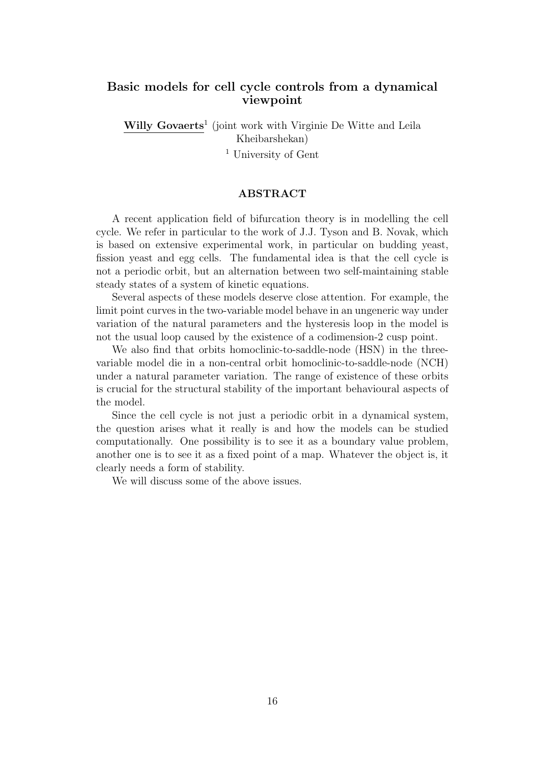# Basic models for cell cycle controls from a dynamical viewpoint

Willy Govaerts<sup>1</sup> (joint work with Virginie De Witte and Leila Kheibarshekan)

<sup>1</sup> University of Gent

### ABSTRACT

A recent application field of bifurcation theory is in modelling the cell cycle. We refer in particular to the work of J.J. Tyson and B. Novak, which is based on extensive experimental work, in particular on budding yeast, fission yeast and egg cells. The fundamental idea is that the cell cycle is not a periodic orbit, but an alternation between two self-maintaining stable steady states of a system of kinetic equations.

Several aspects of these models deserve close attention. For example, the limit point curves in the two-variable model behave in an ungeneric way under variation of the natural parameters and the hysteresis loop in the model is not the usual loop caused by the existence of a codimension-2 cusp point.

We also find that orbits homoclinic-to-saddle-node (HSN) in the threevariable model die in a non-central orbit homoclinic-to-saddle-node (NCH) under a natural parameter variation. The range of existence of these orbits is crucial for the structural stability of the important behavioural aspects of the model.

Since the cell cycle is not just a periodic orbit in a dynamical system, the question arises what it really is and how the models can be studied computationally. One possibility is to see it as a boundary value problem, another one is to see it as a fixed point of a map. Whatever the object is, it clearly needs a form of stability.

We will discuss some of the above issues.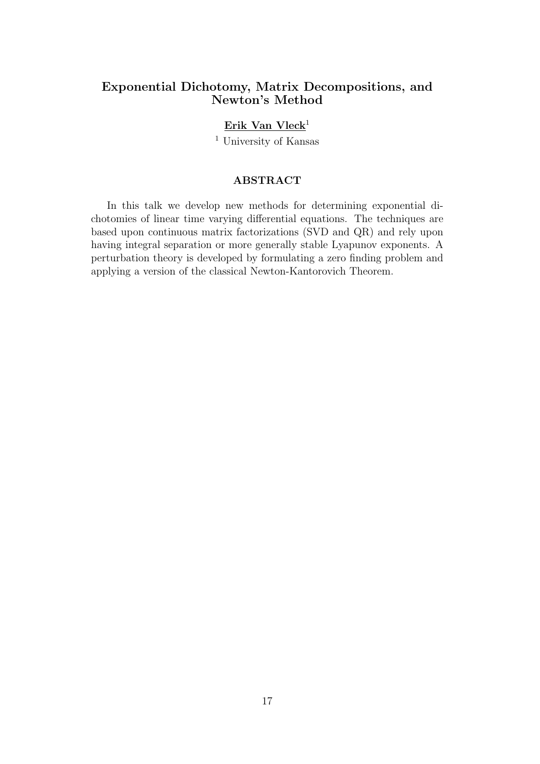# Exponential Dichotomy, Matrix Decompositions, and Newton's Method

# Erik Van Vleck<sup>1</sup>

<sup>1</sup> University of Kansas

### ABSTRACT

In this talk we develop new methods for determining exponential dichotomies of linear time varying differential equations. The techniques are based upon continuous matrix factorizations (SVD and QR) and rely upon having integral separation or more generally stable Lyapunov exponents. A perturbation theory is developed by formulating a zero finding problem and applying a version of the classical Newton-Kantorovich Theorem.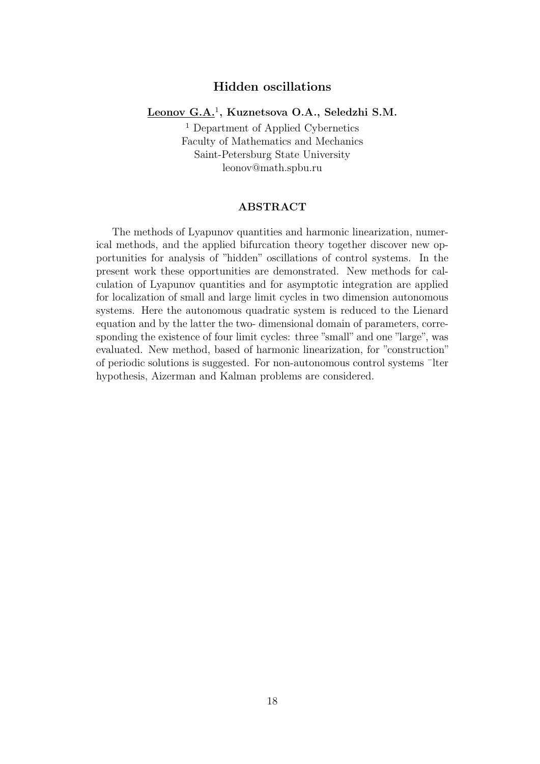# Hidden oscillations

## Leonov G.A.<sup>1</sup>, Kuznetsova O.A., Seledzhi S.M.

<sup>1</sup> Department of Applied Cybernetics Faculty of Mathematics and Mechanics Saint-Petersburg State University leonov@math.spbu.ru

#### ABSTRACT

The methods of Lyapunov quantities and harmonic linearization, numerical methods, and the applied bifurcation theory together discover new opportunities for analysis of "hidden" oscillations of control systems. In the present work these opportunities are demonstrated. New methods for calculation of Lyapunov quantities and for asymptotic integration are applied for localization of small and large limit cycles in two dimension autonomous systems. Here the autonomous quadratic system is reduced to the Lienard equation and by the latter the two- dimensional domain of parameters, corresponding the existence of four limit cycles: three "small" and one "large", was evaluated. New method, based of harmonic linearization, for "construction" of periodic solutions is suggested. For non-autonomous control systems ¯lter hypothesis, Aizerman and Kalman problems are considered.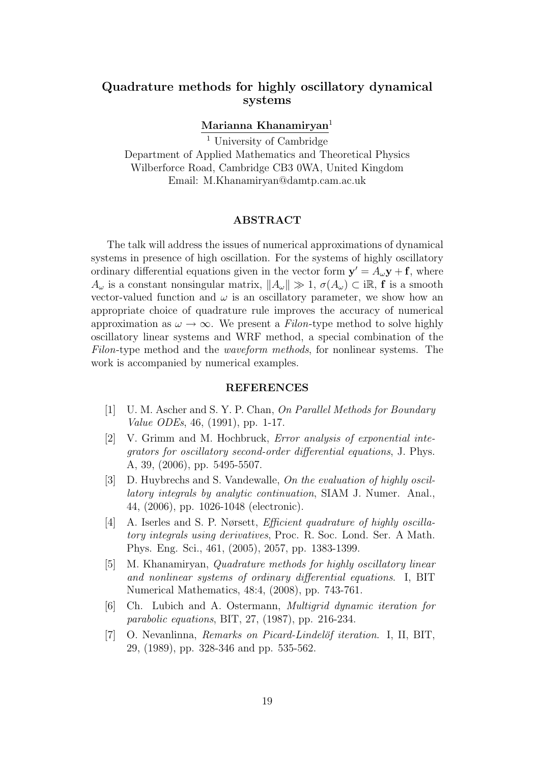# Quadrature methods for highly oscillatory dynamical systems

### Marianna Khanamiryan<sup>1</sup>

<sup>1</sup> University of Cambridge Department of Applied Mathematics and Theoretical Physics Wilberforce Road, Cambridge CB3 0WA, United Kingdom Email: M.Khanamiryan@damtp.cam.ac.uk

#### ABSTRACT

The talk will address the issues of numerical approximations of dynamical systems in presence of high oscillation. For the systems of highly oscillatory ordinary differential equations given in the vector form  $\mathbf{y}' = A_{\omega} \mathbf{y} + \mathbf{f}$ , where  $A_{\omega}$  is a constant nonsingular matrix,  $||A_{\omega}|| \gg 1$ ,  $\sigma(A_{\omega}) \subset \mathbb{R}$ , f is a smooth vector-valued function and  $\omega$  is an oscillatory parameter, we show how an appropriate choice of quadrature rule improves the accuracy of numerical approximation as  $\omega \to \infty$ . We present a Filon-type method to solve highly oscillatory linear systems and WRF method, a special combination of the Filon-type method and the waveform methods, for nonlinear systems. The work is accompanied by numerical examples.

#### REFERENCES

- [1] U. M. Ascher and S. Y. P. Chan, On Parallel Methods for Boundary Value ODEs, 46, (1991), pp. 1-17.
- [2] V. Grimm and M. Hochbruck, Error analysis of exponential integrators for oscillatory second-order differential equations, J. Phys. A, 39, (2006), pp. 5495-5507.
- [3] D. Huybrechs and S. Vandewalle, On the evaluation of highly oscillatory integrals by analytic continuation, SIAM J. Numer. Anal., 44, (2006), pp. 1026-1048 (electronic).
- [4] A. Iserles and S. P. Nørsett, *Efficient quadrature of highly oscilla*tory integrals using derivatives, Proc. R. Soc. Lond. Ser. A Math. Phys. Eng. Sci., 461, (2005), 2057, pp. 1383-1399.
- [5] M. Khanamiryan, Quadrature methods for highly oscillatory linear and nonlinear systems of ordinary differential equations. I, BIT Numerical Mathematics, 48:4, (2008), pp. 743-761.
- [6] Ch. Lubich and A. Ostermann, Multigrid dynamic iteration for parabolic equations, BIT, 27, (1987), pp. 216-234.
- $[7]$  O. Nevanlinna, *Remarks on Picard-Lindelöf iteration.* I, II, BIT, 29, (1989), pp. 328-346 and pp. 535-562.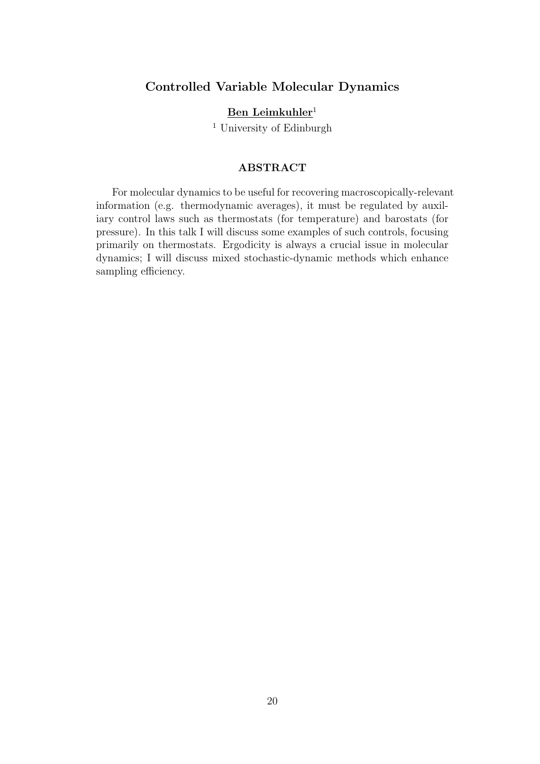# Controlled Variable Molecular Dynamics

# Ben Leimkuhler<sup>1</sup>

<sup>1</sup> University of Edinburgh

## ABSTRACT

For molecular dynamics to be useful for recovering macroscopically-relevant information (e.g. thermodynamic averages), it must be regulated by auxiliary control laws such as thermostats (for temperature) and barostats (for pressure). In this talk I will discuss some examples of such controls, focusing primarily on thermostats. Ergodicity is always a crucial issue in molecular dynamics; I will discuss mixed stochastic-dynamic methods which enhance sampling efficiency.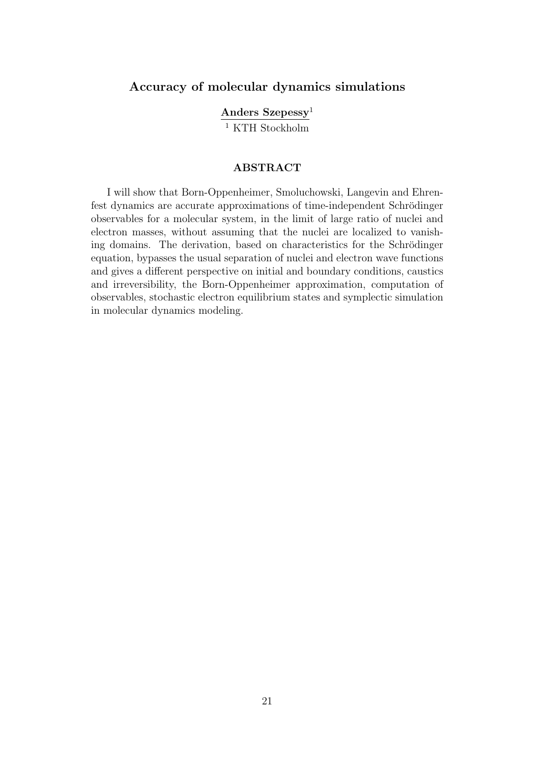# Accuracy of molecular dynamics simulations

Anders Szepessy<sup>1</sup>

 $\overline{1}$  KTH Stockholm

#### ABSTRACT

I will show that Born-Oppenheimer, Smoluchowski, Langevin and Ehrenfest dynamics are accurate approximations of time-independent Schrödinger observables for a molecular system, in the limit of large ratio of nuclei and electron masses, without assuming that the nuclei are localized to vanishing domains. The derivation, based on characteristics for the Schrödinger equation, bypasses the usual separation of nuclei and electron wave functions and gives a different perspective on initial and boundary conditions, caustics and irreversibility, the Born-Oppenheimer approximation, computation of observables, stochastic electron equilibrium states and symplectic simulation in molecular dynamics modeling.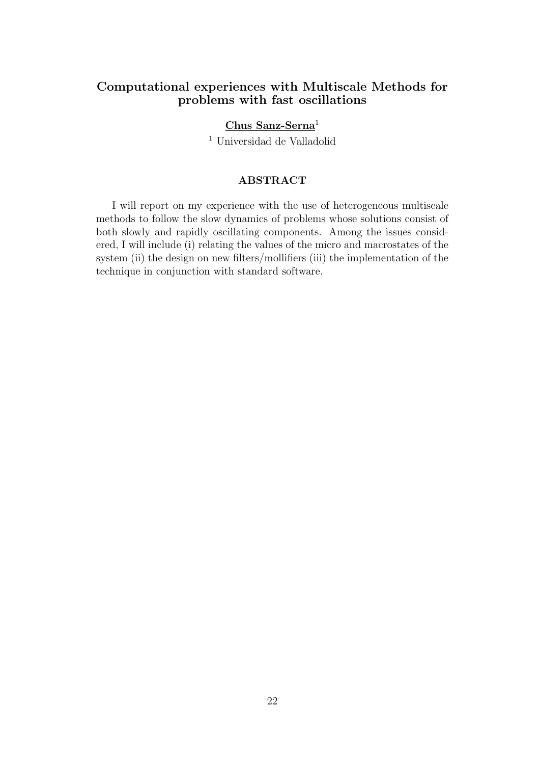# Computational experiences with Multiscale Methods for problems with fast oscillations

## Chus Sanz-Serna<sup>1</sup>

<sup>1</sup> Universidad de Valladolid

#### ABSTRACT

I will report on my experience with the use of heterogeneous multiscale methods to follow the slow dynamics of problems whose solutions consist of both slowly and rapidly oscillating components. Among the issues considered, I will include (i) relating the values of the micro and macrostates of the system (ii) the design on new filters/mollifiers (iii) the implementation of the technique in conjunction with standard software.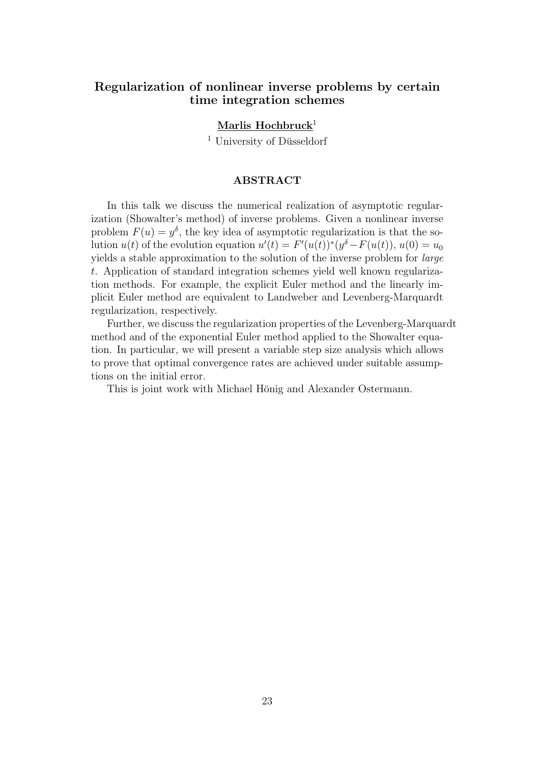# Regularization of nonlinear inverse problems by certain time integration schemes

Marlis Hochbruck<sup>1</sup>

 $<sup>1</sup>$  University of Düsseldorf</sup>

#### ABSTRACT

In this talk we discuss the numerical realization of asymptotic regularization (Showalter's method) of inverse problems. Given a nonlinear inverse problem  $F(u) = y^{\delta}$ , the key idea of asymptotic regularization is that the solution  $u(t)$  of the evolution equation  $u'(t) = F'(u(t))^*(y^{\delta} - F(u(t)), u(0)) = u_0$ yields a stable approximation to the solution of the inverse problem for large t. Application of standard integration schemes yield well known regularization methods. For example, the explicit Euler method and the linearly implicit Euler method are equivalent to Landweber and Levenberg-Marquardt regularization, respectively.

Further, we discuss the regularization properties of the Levenberg-Marquardt method and of the exponential Euler method applied to the Showalter equation. In particular, we will present a variable step size analysis which allows to prove that optimal convergence rates are achieved under suitable assumptions on the initial error.

This is joint work with Michael Hönig and Alexander Ostermann.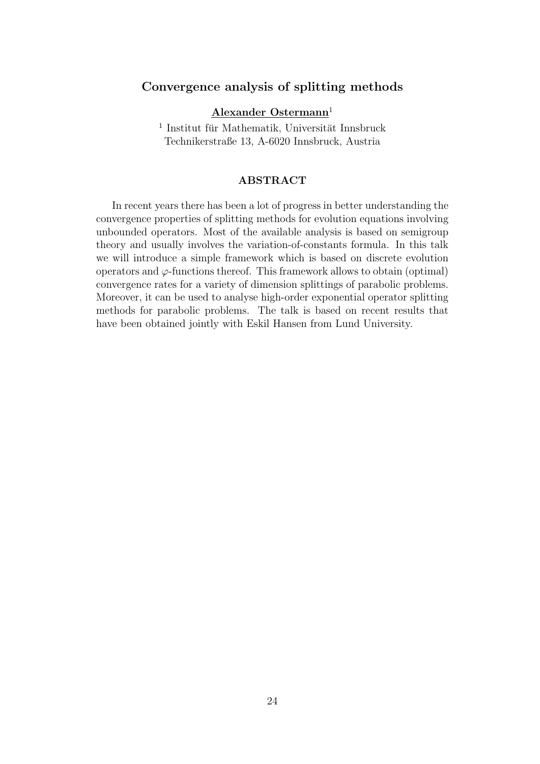# Convergence analysis of splitting methods

Alexander Ostermann<sup>1</sup>

 $^1$ Institut für Mathematik, Universität Innsbruck Technikerstraße 13, A-6020 Innsbruck, Austria

#### ABSTRACT

In recent years there has been a lot of progress in better understanding the convergence properties of splitting methods for evolution equations involving unbounded operators. Most of the available analysis is based on semigroup theory and usually involves the variation-of-constants formula. In this talk we will introduce a simple framework which is based on discrete evolution operators and  $\varphi$ -functions thereof. This framework allows to obtain (optimal) convergence rates for a variety of dimension splittings of parabolic problems. Moreover, it can be used to analyse high-order exponential operator splitting methods for parabolic problems. The talk is based on recent results that have been obtained jointly with Eskil Hansen from Lund University.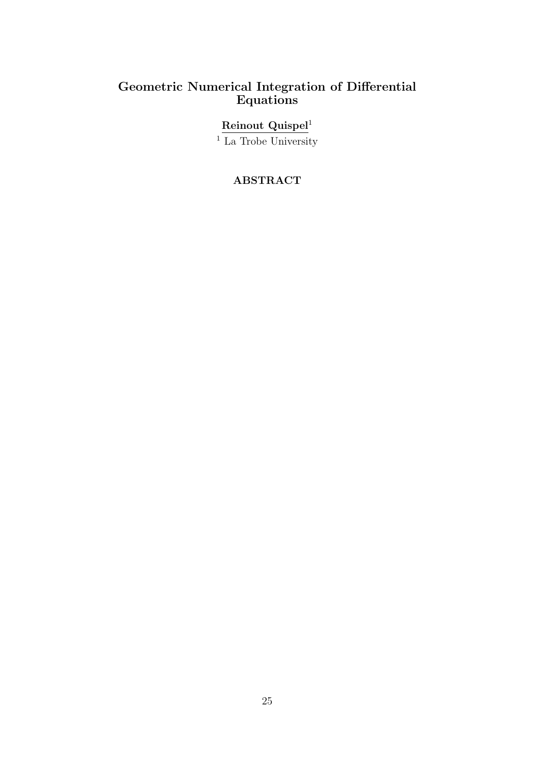# Geometric Numerical Integration of Differential Equations

## Reinout Quispel<sup>1</sup>

<sup>1</sup> La Trobe University

# ABSTRACT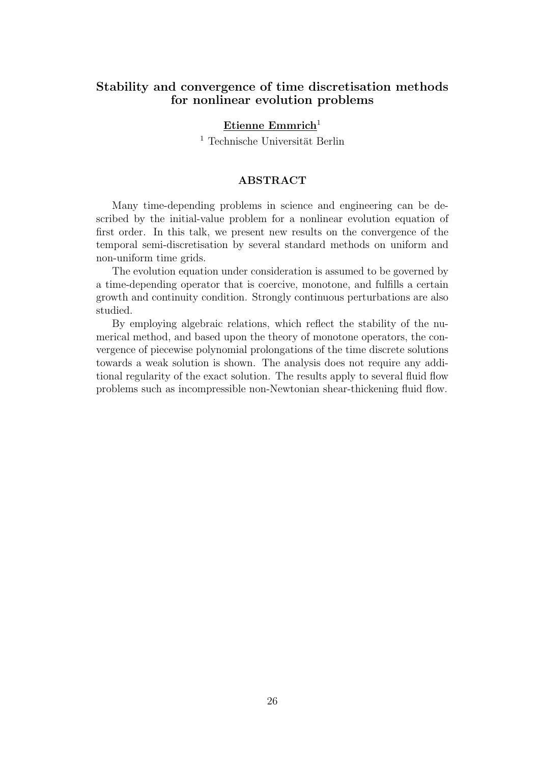# Stability and convergence of time discretisation methods for nonlinear evolution problems

## Etienne Emmrich<sup>1</sup>

 $<sup>1</sup>$  Technische Universität Berlin</sup>

#### ABSTRACT

Many time-depending problems in science and engineering can be described by the initial-value problem for a nonlinear evolution equation of first order. In this talk, we present new results on the convergence of the temporal semi-discretisation by several standard methods on uniform and non-uniform time grids.

The evolution equation under consideration is assumed to be governed by a time-depending operator that is coercive, monotone, and fulfills a certain growth and continuity condition. Strongly continuous perturbations are also studied.

By employing algebraic relations, which reflect the stability of the numerical method, and based upon the theory of monotone operators, the convergence of piecewise polynomial prolongations of the time discrete solutions towards a weak solution is shown. The analysis does not require any additional regularity of the exact solution. The results apply to several fluid flow problems such as incompressible non-Newtonian shear-thickening fluid flow.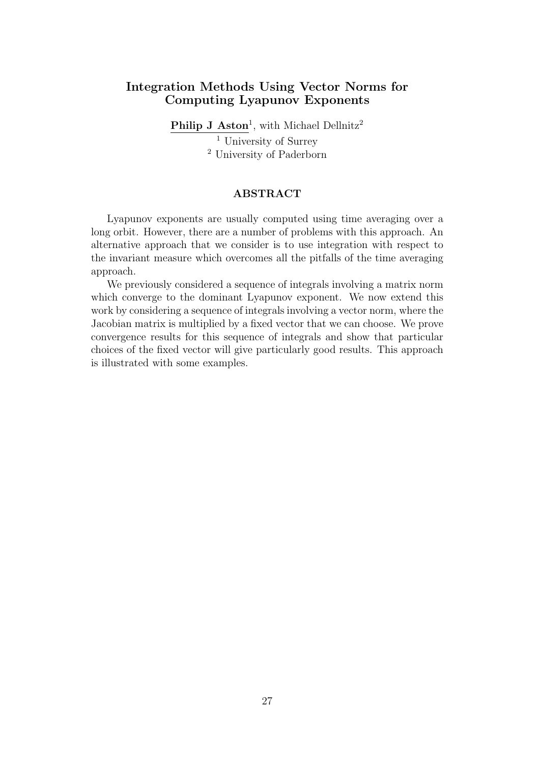## Integration Methods Using Vector Norms for Computing Lyapunov Exponents

Philip J Aston<sup>1</sup>, with Michael Dellnitz<sup>2</sup>  $\overline{1}$  University of Surrey <sup>2</sup> University of Paderborn

#### ABSTRACT

Lyapunov exponents are usually computed using time averaging over a long orbit. However, there are a number of problems with this approach. An alternative approach that we consider is to use integration with respect to the invariant measure which overcomes all the pitfalls of the time averaging approach.

We previously considered a sequence of integrals involving a matrix norm which converge to the dominant Lyapunov exponent. We now extend this work by considering a sequence of integrals involving a vector norm, where the Jacobian matrix is multiplied by a fixed vector that we can choose. We prove convergence results for this sequence of integrals and show that particular choices of the fixed vector will give particularly good results. This approach is illustrated with some examples.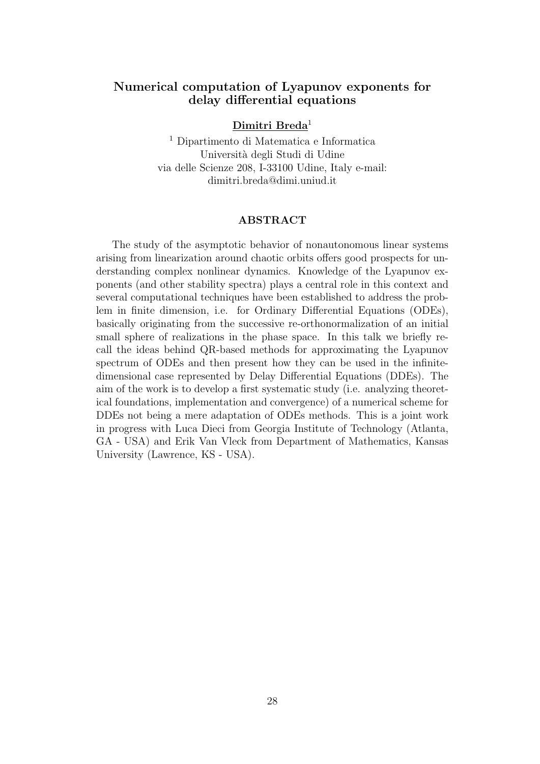# Numerical computation of Lyapunov exponents for delay differential equations

## Dimitri Breda<sup>1</sup>

<sup>1</sup> Dipartimento di Matematica e Informatica Universit`a degli Studi di Udine via delle Scienze 208, I-33100 Udine, Italy e-mail: dimitri.breda@dimi.uniud.it

#### ABSTRACT

The study of the asymptotic behavior of nonautonomous linear systems arising from linearization around chaotic orbits offers good prospects for understanding complex nonlinear dynamics. Knowledge of the Lyapunov exponents (and other stability spectra) plays a central role in this context and several computational techniques have been established to address the problem in finite dimension, i.e. for Ordinary Differential Equations (ODEs), basically originating from the successive re-orthonormalization of an initial small sphere of realizations in the phase space. In this talk we briefly recall the ideas behind QR-based methods for approximating the Lyapunov spectrum of ODEs and then present how they can be used in the infinitedimensional case represented by Delay Differential Equations (DDEs). The aim of the work is to develop a first systematic study (i.e. analyzing theoretical foundations, implementation and convergence) of a numerical scheme for DDEs not being a mere adaptation of ODEs methods. This is a joint work in progress with Luca Dieci from Georgia Institute of Technology (Atlanta, GA - USA) and Erik Van Vleck from Department of Mathematics, Kansas University (Lawrence, KS - USA).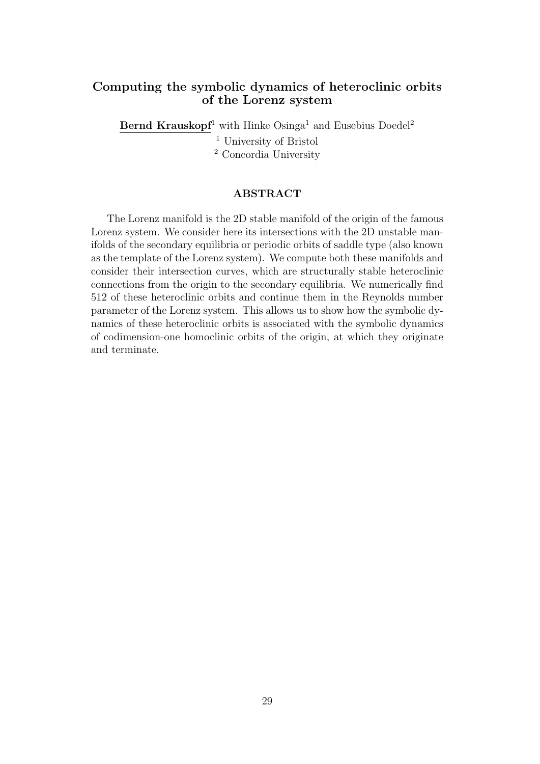# Computing the symbolic dynamics of heteroclinic orbits of the Lorenz system

Bernd Krauskopf<sup>1</sup> with Hinke Osinga<sup>1</sup> and Eusebius Doedel<sup>2</sup> <sup>1</sup> University of Bristol <sup>2</sup> Concordia University

#### ABSTRACT

The Lorenz manifold is the 2D stable manifold of the origin of the famous Lorenz system. We consider here its intersections with the 2D unstable manifolds of the secondary equilibria or periodic orbits of saddle type (also known as the template of the Lorenz system). We compute both these manifolds and consider their intersection curves, which are structurally stable heteroclinic connections from the origin to the secondary equilibria. We numerically find 512 of these heteroclinic orbits and continue them in the Reynolds number parameter of the Lorenz system. This allows us to show how the symbolic dynamics of these heteroclinic orbits is associated with the symbolic dynamics of codimension-one homoclinic orbits of the origin, at which they originate and terminate.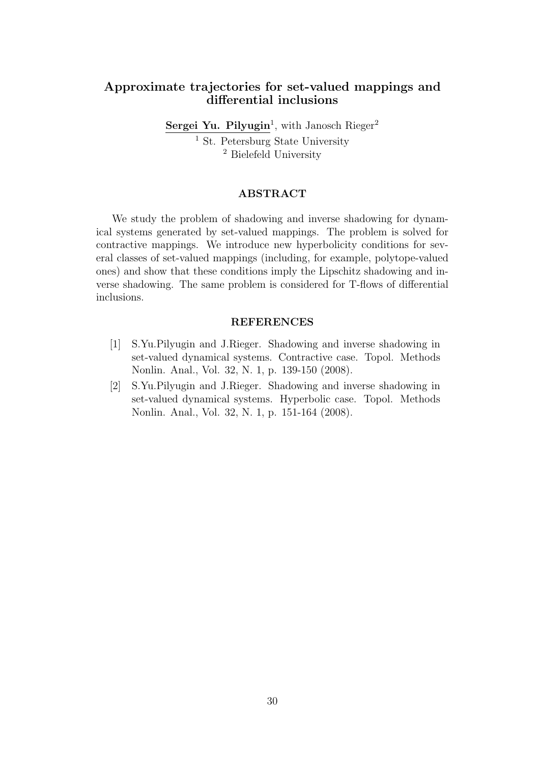# Approximate trajectories for set-valued mappings and differential inclusions

Sergei Yu. Pilyugin<sup>1</sup>, with Janosch Rieger<sup>2</sup> <sup>1</sup> St. Petersburg State University <sup>2</sup> Bielefeld University

#### ABSTRACT

We study the problem of shadowing and inverse shadowing for dynamical systems generated by set-valued mappings. The problem is solved for contractive mappings. We introduce new hyperbolicity conditions for several classes of set-valued mappings (including, for example, polytope-valued ones) and show that these conditions imply the Lipschitz shadowing and inverse shadowing. The same problem is considered for T-flows of differential inclusions.

#### REFERENCES

- [1] S.Yu.Pilyugin and J.Rieger. Shadowing and inverse shadowing in set-valued dynamical systems. Contractive case. Topol. Methods Nonlin. Anal., Vol. 32, N. 1, p. 139-150 (2008).
- [2] S.Yu.Pilyugin and J.Rieger. Shadowing and inverse shadowing in set-valued dynamical systems. Hyperbolic case. Topol. Methods Nonlin. Anal., Vol. 32, N. 1, p. 151-164 (2008).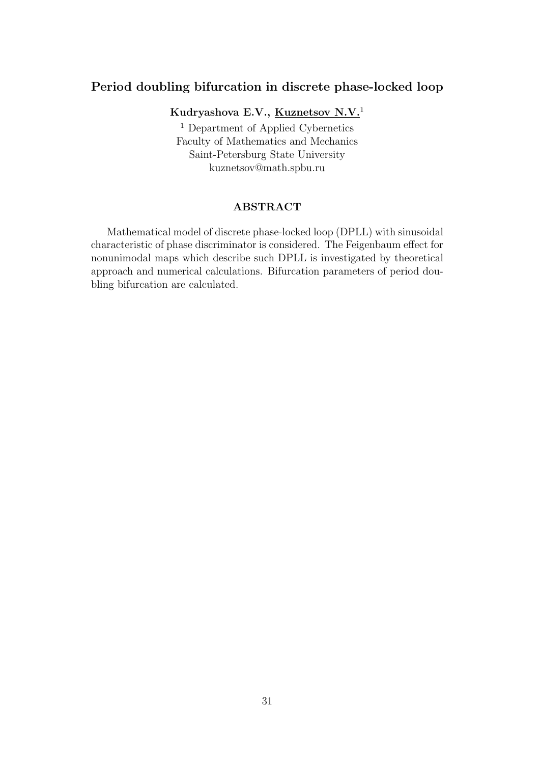# Period doubling bifurcation in discrete phase-locked loop

Kudryashova E.V., Kuznetsov N.V.<sup>1</sup>

<sup>1</sup> Department of Applied Cybernetics Faculty of Mathematics and Mechanics Saint-Petersburg State University kuznetsov@math.spbu.ru

#### ABSTRACT

Mathematical model of discrete phase-locked loop (DPLL) with sinusoidal characteristic of phase discriminator is considered. The Feigenbaum effect for nonunimodal maps which describe such DPLL is investigated by theoretical approach and numerical calculations. Bifurcation parameters of period doubling bifurcation are calculated.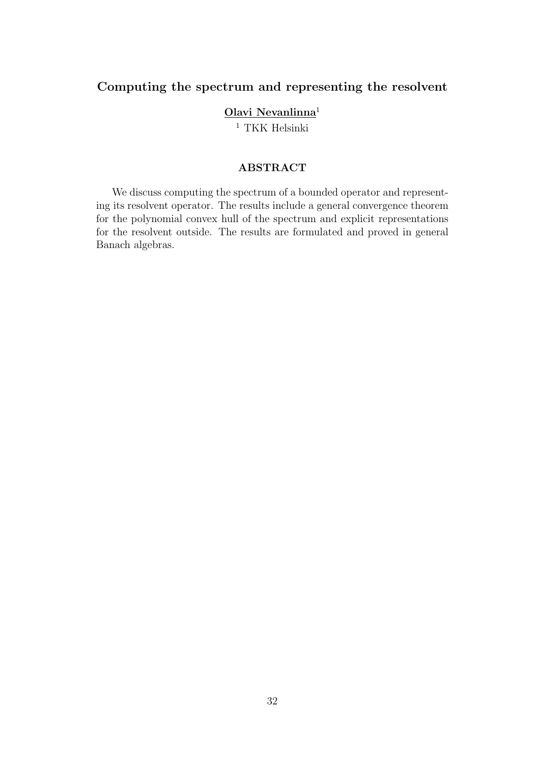# Computing the spectrum and representing the resolvent

## Olavi Nevanlinna<sup>1</sup>

 $^{\rm 1}$  TKK Helsinki

# ABSTRACT

We discuss computing the spectrum of a bounded operator and representing its resolvent operator. The results include a general convergence theorem for the polynomial convex hull of the spectrum and explicit representations for the resolvent outside. The results are formulated and proved in general Banach algebras.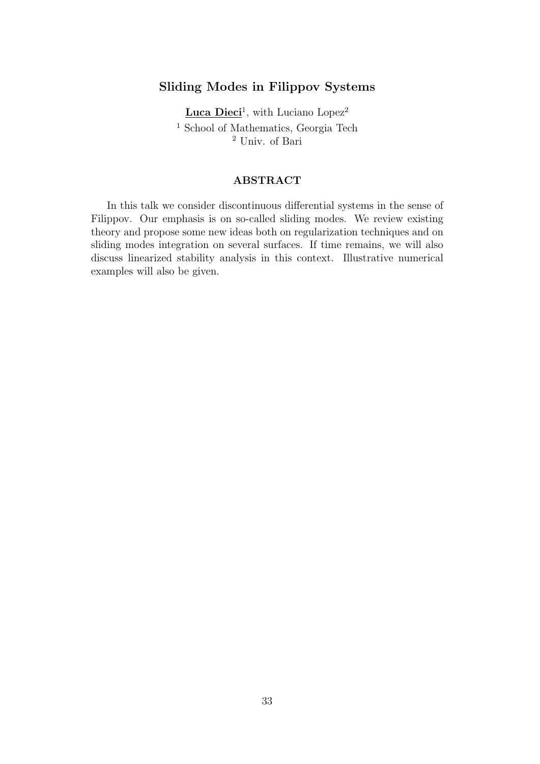# Sliding Modes in Filippov Systems

Luca Dieci<sup>1</sup>, with Luciano Lopez<sup>2</sup>  $^{\rm 1}$  School of Mathematics, Georgia Tech <sup>2</sup> Univ. of Bari

#### ABSTRACT

In this talk we consider discontinuous differential systems in the sense of Filippov. Our emphasis is on so-called sliding modes. We review existing theory and propose some new ideas both on regularization techniques and on sliding modes integration on several surfaces. If time remains, we will also discuss linearized stability analysis in this context. Illustrative numerical examples will also be given.